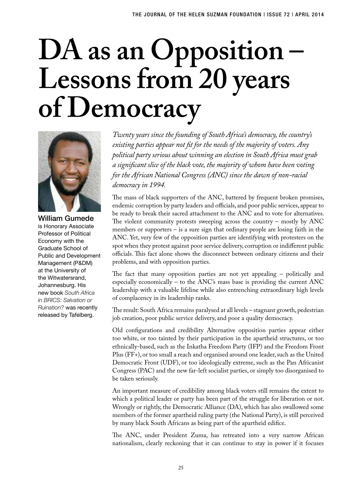# **DA as an Opposition – Lessons from 20 years of Democracy**



William Gumede is Honorary Associate Professor of Political Economy with the Graduate School of Public and Development Management (P&DM) at the University of the Witwatersrand, Johannesburg. His new book *South Africa in BRICS: Salvation or Ruination?* was recently released by Tafelberg.

*Twenty years since the founding of South Africa's democracy, the country's existing parties appear not fit for the needs of the majority of voters. Any political party serious about winning an election in South Africa must grab a significant slice of the black vote, the majority of whom have been voting for the African National Congress (ANC) since the dawn of non-racial democracy in 1994.* 

The mass of black supporters of the ANC, battered by frequent broken promises, endemic corruption by party leaders and officials, and poor public services, appear to be ready to break their sacred attachment to the ANC and to vote for alternatives. The violent community protests sweeping across the country – mostly by ANC members or supporters – is a sure sign that ordinary people are losing faith in the ANC. Yet, very few of the opposition parties are identifying with protesters on the spot when they protest against poor service delivery, corruption or indifferent public officials. This fact alone shows the disconnect between ordinary citizens and their problems, and with opposition parties.

The fact that many opposition parties are not yet appealing – politically and especially economically – to the ANC's mass base is providing the current ANC leadership with a valuable lifeline while also entrenching extraordinary high levels of complacency in its leadership ranks.

The result: South Africa remains paralysed at all levels – stagnant growth, pedestrian job creation, poor public service delivery, and poor a quality democracy.

Old configurations and credibility Alternative opposition parties appear either too white, or too tainted by their participation in the apartheid structures, or too ethnically-based, such as the Inkatha Freedom Party (IFP) and the Freedom Front Plus (FF+), or too small a reach and organised around one leader, such as the United Democratic Front (UDF), or too ideologically extreme, such as the Pan Africanist Congress (PAC) and the new far-left socialist parties, or simply too disorganised to be taken seriously.

An important measure of credibility among black voters still remains the extent to which a political leader or party has been part of the struggle for liberation or not. Wrongly or rightly, the Democratic Alliance (DA), which has also swallowed some members of the former apartheid ruling party (the National Party), is still perceived by many black South Africans as being part of the apartheid edifice.

The ANC, under President Zuma, has retreated into a very narrow African nationalism, clearly reckoning that it can continue to stay in power if it focuses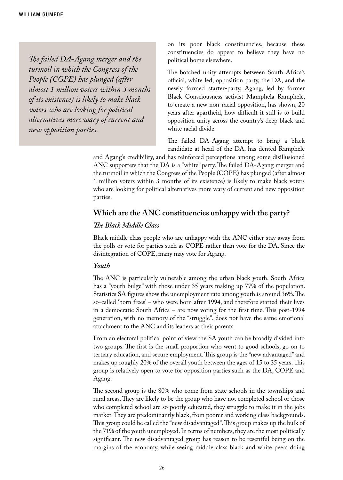*The failed DA-Agang merger and the turmoil in which the Congress of the People (COPE) has plunged (after almost 1 million voters within 3 months of its existence) is likely to make black voters who are looking for political alternatives more wary of current and new opposition parties.* 

on its poor black constituencies, because these constituencies do appear to believe they have no political home elsewhere.

The botched unity attempts between South Africa's official, white led, opposition party, the DA, and the newly formed starter-party, Agang, led by former Black Consciousness activist Mamphela Ramphele, to create a new non-racial opposition, has shown, 20 years after apartheid, how difficult it still is to build opposition unity across the country's deep black and white racial divide.

The failed DA-Agang attempt to bring a black candidate at head of the DA, has dented Ramphele

and Agang's credibility, and has reinforced perceptions among some disillusioned ANC supporters that the DA is a "white" party. The failed DA-Agang merger and the turmoil in which the Congress of the People (COPE) has plunged (after almost 1 million voters within 3 months of its existence) is likely to make black voters who are looking for political alternatives more wary of current and new opposition parties.

## **Which are the ANC constituencies unhappy with the party?**

#### *The Black Middle Class*

Black middle class people who are unhappy with the ANC either stay away from the polls or vote for parties such as COPE rather than vote for the DA. Since the disintegration of COPE, many may vote for Agang.

#### *Youth*

The ANC is particularly vulnerable among the urban black youth. South Africa has a "youth bulge" with those under 35 years making up 77% of the population. Statistics SA figures show the unemployment rate among youth is around 36%. The so-called 'born frees' – who were born after 1994, and therefore started their lives in a democratic South Africa – are now voting for the first time. This post-1994 generation, with no memory of the "struggle", does not have the same emotional attachment to the ANC and its leaders as their parents.

From an electoral political point of view the SA youth can be broadly divided into two groups. The first is the small proportion who went to good schools, go on to tertiary education, and secure employment. This group is the "new advantaged" and makes up roughly 20% of the overall youth between the ages of 15 to 35 years. This group is relatively open to vote for opposition parties such as the DA, COPE and Agang.

The second group is the 80% who come from state schools in the townships and rural areas. They are likely to be the group who have not completed school or those who completed school are so poorly educated, they struggle to make it in the jobs market. They are predominantly black, from poorer and working class backgrounds. This group could be called the "new disadvantaged". This group makes up the bulk of the 71% of the youth unemployed. In terms of numbers, they are the most politically significant. The new disadvantaged group has reason to be resentful being on the margins of the economy, while seeing middle class black and white peers doing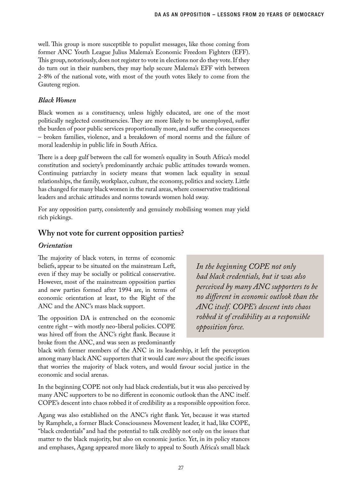well. This group is more susceptible to populist messages, like those coming from former ANC Youth League Julius Malema's Economic Freedom Fighters (EFF). This group, notoriously, does not register to vote in elections nor do they vote. If they do turn out in their numbers, they may help secure Malema's EFF with between 2-8% of the national vote, with most of the youth votes likely to come from the Gauteng region.

## *Black Women*

Black women as a constituency, unless highly educated, are one of the most politically neglected constituencies. They are more likely to be unemployed, suffer the burden of poor public services proportionally more, and suffer the consequences – broken families, violence, and a breakdown of moral norms and the failure of moral leadership in public life in South Africa.

There is a deep gulf between the call for women's equality in South Africa's model constitution and society's predominantly archaic public attitudes towards women. Continuing patriarchy in society means that women lack equality in sexual relationships, the family, workplace, culture, the economy, politics and society. Little has changed for many black women in the rural areas, where conservative traditional leaders and archaic attitudes and norms towards women hold sway.

For any opposition party, consistently and genuinely mobilising women may yield rich pickings.

## **Why not vote for current opposition parties?**

#### *Orientation*

The majority of black voters, in terms of economic beliefs, appear to be situated on the mainstream Left, even if they may be socially or political conservative. However, most of the mainstream opposition parties and new parties formed after 1994 are, in terms of economic orientation at least, to the Right of the ANC and the ANC's mass black support.

The opposition DA is entrenched on the economic centre right – with mostly neo-liberal policies. COPE was hived off from the ANC's right flank. Because it broke from the ANC, and was seen as predominantly

*In the beginning COPE not only had black credentials, but it was also perceived by many ANC supporters to be no different in economic outlook than the ANC itself. COPE's descent into chaos robbed it of credibility as a responsible opposition force.* 

black with former members of the ANC in its leadership, it left the perception among many black ANC supporters that it would care *more* about the specific issues that worries the majority of black voters, and would favour social justice in the economic and social arenas.

In the beginning COPE not only had black credentials, but it was also perceived by many ANC supporters to be no different in economic outlook than the ANC itself. COPE's descent into chaos robbed it of credibility as a responsible opposition force.

Agang was also established on the ANC's right flank. Yet, because it was started by Ramphele, a former Black Consciousness Movement leader, it had, like COPE, "black credentials" and had the potential to talk credibly not only on the issues that matter to the black majority, but also on economic justice. Yet, in its policy stances and emphases, Agang appeared more likely to appeal to South Africa's small black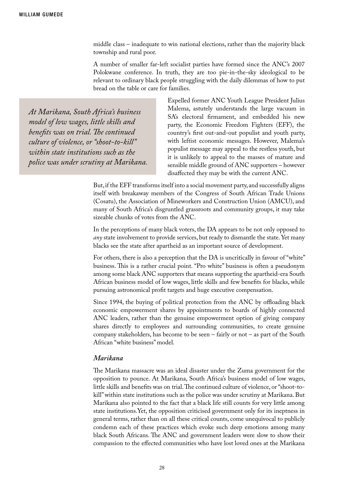middle class – inadequate to win national elections, rather than the majority black township and rural poor.

A number of smaller far-left socialist parties have formed since the ANC's 2007 Polokwane conference. In truth, they are too pie-in-the-sky ideological to be relevant to ordinary black people struggling with the daily dilemmas of how to put bread on the table or care for families.

*At Marikana, South Africa's business model of low wages, little skills and benefits was on trial. The continued culture of violence, or "shoot-to-kill" within state institutions such as the police was under scrutiny at Marikana.* Expelled former ANC Youth League President Julius Malema, astutely understands the large vacuum in SA's electoral firmament, and embedded his new party, the Economic Freedom Fighters (EFF), the country's first out-and-out populist and youth party, with leftist economic messages. However, Malema's populist message may appeal to the restless youth, but it is unlikely to appeal to the masses of mature and sensible middle ground of ANC supporters – however disaffected they may be with the current ANC.

But, if the EFF transforms itself into a social movement party, and successfully aligns itself with breakaway members of the Congress of South African Trade Unions (Cosatu), the Association of Mineworkers and Construction Union (AMCU), and many of South Africa's disgruntled grassroots and community groups, it may take sizeable chunks of votes from the ANC.

In the perceptions of many black voters, the DA appears to be not only opposed to *any* state involvement to provide services, but ready to dismantle the state. Yet many blacks see the state after apartheid as an important source of development.

For others, there is also a perception that the DA is uncritically in favour of "white" business. This is a rather crucial point. "Pro white" business is often a pseudonym among some black ANC supporters that means supporting the apartheid-era South African business model of low wages, little skills and few benefits for blacks, while pursuing astronomical profit targets and huge executive compensation.

Since 1994, the buying of political protection from the ANC by offloading black economic empowerment shares by appointments to boards of highly connected ANC leaders, rather than the genuine empowerment option of giving company shares directly to employees and surrounding communities, to create genuine company stakeholders, has become to be seen – fairly or not – as part of the South African "white business" model.

#### *Marikana*

The Marikana massacre was an ideal disaster under the Zuma government for the opposition to pounce. At Marikana, South Africa's business model of low wages, little skills and benefits was on trial. The continued culture of violence, or "shoot-tokill" within state institutions such as the police was under scrutiny at Marikana. But Marikana also pointed to the fact that a black life still counts for very little among state institutions.Yet, the opposition criticised government only for its ineptness in general terms, rather than on all these critical counts, come unequivocal to publicly condemn each of these practices which evoke such deep emotions among many black South Africans. The ANC and government leaders were slow to show their compassion to the effected communities who have lost loved ones at the Marikana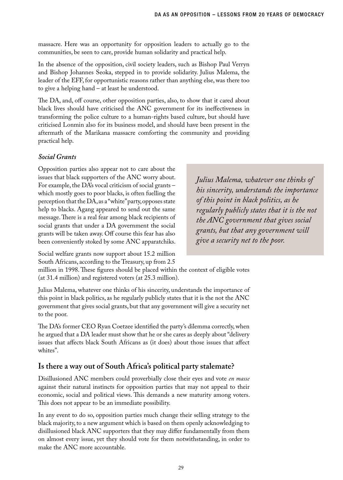massacre. Here was an opportunity for opposition leaders to actually go to the communities, be seen to care, provide human solidarity and practical help.

In the absence of the opposition, civil society leaders, such as Bishop Paul Verryn and Bishop Johannes Seoka, stepped in to provide solidarity. Julius Malema, the leader of the EFF, for opportunistic reasons rather than anything else, was there too to give a helping hand – at least he understood.

The DA, and, off course, other opposition parties, also, to show that it cared about black lives should have criticised the ANC government for its ineffectiveness in transforming the police culture to a human-rights based culture, but should have criticised Lonmin also for its business model, and should have been present in the aftermath of the Marikana massacre comforting the community and providing practical help.

## *Social Grants*

Opposition parties also appear not to care about the issues that black supporters of the ANC worry about. For example, the DA's vocal criticism of social grants – which mostly goes to poor blacks, is often fuelling the perception that the DA, as a "white" party, opposes state help to blacks. Agang appeared to send out the same message. There is a real fear among black recipients of social grants that under a DA government the social grants will be taken away. Off course this fear has also been conveniently stoked by some ANC apparatchiks.

*Julius Malema, whatever one thinks of his sincerity, understands the importance of this point in black politics, as he regularly publicly states that it is the not the ANC government that gives social grants, but that any government will give a security net to the poor.* 

Social welfare grants now support about 15.2 million South Africans, according to the Treasury, up from 2.5

million in 1998. These figures should be placed within the context of eligible votes (at 31.4 million) and registered voters (at 25.3 million).

Julius Malema, whatever one thinks of his sincerity, understands the importance of this point in black politics, as he regularly publicly states that it is the not the ANC government that gives social grants, but that any government will give a security net to the poor.

The DA's former CEO Ryan Coetzee identified the party's dilemma correctly, when he argued that a DA leader must show that he or she cares as deeply about "delivery issues that affects black South Africans as (it does) about those issues that affect whites".

# **Is there a way out of South Africa's political party stalemate?**

Disillusioned ANC members could proverbially close their eyes and vote *en masse*  against their natural instincts for opposition parties that may not appeal to their economic, social and political views. This demands a new maturity among voters. This does not appear to be an immediate possibility.

In any event to do so, opposition parties much change their selling strategy to the black majority, to a new argument which is based on them openly acknowledging to disillusioned black ANC supporters that they may differ fundamentally from them on almost every issue, yet they should vote for them notwithstanding, in order to make the ANC more accountable.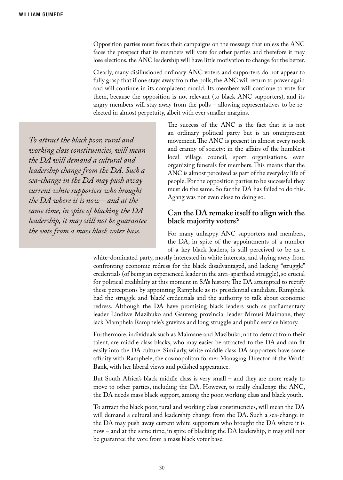Opposition parties must focus their campaigns on the message that unless the ANC faces the prospect that its members will vote for other parties and therefore it may lose elections, the ANC leadership will have little motivation to change for the better.

Clearly, many disillusioned ordinary ANC voters and supporters do not appear to fully grasp that if one stays away from the polls, the ANC will return to power again and will continue in its complacent mould. Its members will continue to vote for them, because the opposition is not relevant (to black ANC supporters), and its angry members will stay away from the polls – allowing representatives to be reelected in almost perpetuity, albeit with ever smaller margins.

*To attract the black poor, rural and working class constituencies, will mean the DA will demand a cultural and leadership change from the DA. Such a sea-change in the DA may push away current white supporters who brought the DA where it is now – and at the same time, in spite of blacking the DA leadership, it may still not be guarantee the vote from a mass black voter base.* 

The success of the ANC is the fact that it is not an ordinary political party but is an omnipresent movement. The ANC is present in almost every nook and cranny of society: in the affairs of the humblest local village council, sport organisations, even organizing funerals for members. This means that the ANC is almost perceived as part of the everyday life of people. For the opposition parties to be successful they must do the same. So far the DA has failed to do this. Agang was not even close to doing so.

## **Can the DA remake itself to align with the black majority voters?**

For many unhappy ANC supporters and members, the DA, in spite of the appointments of a number of a key black leaders, is still perceived to be as a

white-dominated party, mostly interested in white interests, and shying away from confronting economic redress for the black disadvantaged, and lacking "struggle" credentials (of being an experienced leader in the anti-apartheid struggle), so crucial for political credibility at this moment in SA's history. The DA attempted to rectify these perceptions by appointing Ramphele as its presidential candidate. Ramphele had the struggle and 'black' credentials and the authority to talk about economic redress. Although the DA have promising black leaders such as parliamentary leader Lindiwe Mazibuko and Gauteng provincial leader Mmusi Maimane, they lack Mamphela Ramphele's gravitas and long struggle and public service history.

Furthermore, individuals such as Maimane and Mazibuko, not to detract from their talent, are middle class blacks, who may easier be attracted to the DA and can fit easily into the DA culture. Similarly, white middle class DA supporters have some affinity with Ramphele, the cosmopolitan former Managing Director of the World Bank, with her liberal views and polished appearance.

But South Africa's black middle class is very small – and they are more ready to move to other parties, including the DA. However, to really challenge the ANC, the DA needs mass black support, among the poor, working class and black youth.

To attract the black poor, rural and working class constituencies, will mean the DA will demand a cultural and leadership change from the DA. Such a sea-change in the DA may push away current white supporters who brought the DA where it is now – and at the same time, in spite of blacking the DA leadership, it may still not be guarantee the vote from a mass black voter base.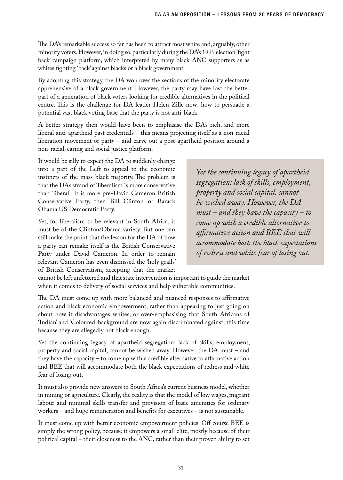The DA's remarkable success so far has been to attract most white and, arguably, other minority voters. However, in doing so, particularly during the DA's 1999 election 'fight back' campaign platform, which interpreted by many black ANC supporters as as whites fighting 'back' against blacks or a black government.

By adopting this strategy, the DA won over the sections of the minority electorate apprehensive of a black government. However, the party may have lost the better part of a generation of black voters looking for credible alternatives in the political centre. This is the challenge for DA leader Helen Zille now: how to persuade a potential vast black voting base that the party is not anti-black.

A better strategy then would have been to emphasise the DA's rich, and more liberal anti-apartheid past credentials – this means projecting itself as a non-racial liberation movement or party – and carve out a post-apartheid position around a non-racial, caring and social justice platform.

It would be silly to expect the DA to suddenly change into a part of the Left to appeal to the economic instincts of the mass black majority. The problem is that the DA's strand of 'liberalism' is more conservative than 'liberal'. It is more pre-David Cameron British Conservative Party, then Bill Clinton or Barack Obama US Democratic Party.

Yet, for liberalism to be relevant in South Africa, it must be of the Clinton/Obama variety. But one can still make the point that the lesson for the DA of how a party can remake itself is the British Conservative Party under David Cameron. In order to remain relevant Cameron has even dismissed the 'holy grails' of British Conservatism, accepting that the market

*Yet the continuing legacy of apartheid segregation: lack of skills, employment, property and social capital, cannot be wished away. However, the DA must – and they have the capacity – to come up with a credible alternative to affirmative action and BEE that will accommodate both the black expectations of redress and white fear of losing out.*

cannot be left unfettered and that state intervention is important to guide the market when it comes to delivery of social services and help vulnerable communities.

The DA must come up with more balanced and nuanced responses to affirmative action and black economic empowerment, rather than appearing to just going on about how it disadvantages whites, or over-emphasising that South Africans of 'Indian' and 'Coloured' background are now again discriminated against, this time because they are allegedly not black enough.

Yet the continuing legacy of apartheid segregation: lack of skills, employment, property and social capital, cannot be wished away. However, the DA must – and they have the capacity – to come up with a credible alternative to affirmative action and BEE that will accommodate both the black expectations of redress and white fear of losing out.

It must also provide new answers to South Africa's current business model, whether in mining or agriculture. Clearly, the reality is that the model of low wages, migrant labour and minimal skills transfer and provision of basic amenities for ordinary workers – and huge remuneration and benefits for executives – is not sustainable.

It must come up with better economic empowerment policies. Off course BEE is simply the wrong policy, because it empowers a small elite, mostly because of their political capital – their closeness to the ANC, rather than their proven ability to set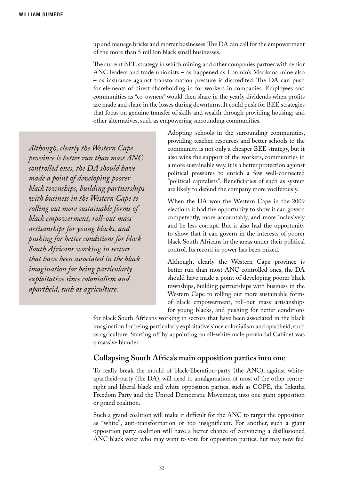up and manage bricks and mortar businesses. The DA can call for the empowerment of the more than 5 million black small businesses.

The current BEE strategy in which mining and other companies partner with senior ANC leaders and trade unionists – as happened as Lonmin's Marikana mine also – as insurance against transformation pressure is discredited. The DA can push for elements of direct shareholding in for workers in companies. Employees and communities as "co-owners" would then share in the yearly dividends when profits are made and share in the losses during downturns. It could push for BEE strategies that focus on genuine transfer of skills and wealth through providing housing; and other alternatives, such as empowering surrounding communities.

*Although, clearly the Western Cape province is better run than most ANC controlled ones, the DA should have made a point of developing poorer black townships, building partnerships with business in the Western Cape to rolling out more sustainable forms of black empowerment, roll-out mass artisanships for young blacks, and pushing for better conditions for black South Africans working in sectors that have been associated in the black imagination for being particularly exploitative since colonialism and apartheid, such as agriculture.* 

Adopting schools in the surrounding communities, providing teacher, resources and better schools to the community, is not only a cheaper BEE strategy, but it also wins the support of the workers, communities in a more sustainable way, it is a better protection against political pressures to enrich a few well-connected "political capitalists". Beneficiaries of such as system are likely to defend the company more vociferously.

When the DA won the Western Cape in the 2009 elections it had the opportunity to show it can govern competently, more accountably, and more inclusively and be less corrupt. But it also had the opportunity to show that it can govern in the interests of poorer black South Africans in the areas under their political control. Its record in power has been mixed.

Although, clearly the Western Cape province is better run than most ANC controlled ones, the DA should have made a point of developing poorer black townships, building partnerships with business in the Western Cape to rolling out more sustainable forms of black empowerment, roll-out mass artisanships for young blacks, and pushing for better conditions

for black South Africans working in sectors that have been associated in the black imagination for being particularly exploitative since colonialism and apartheid, such as agriculture. Starting off by appointing an all-white male provincial Cabinet was a massive blunder.

## **Collapsing South Africa's main opposition parties into one**

To really break the mould of black-liberation-party (the ANC), against whiteapartheid-party (the DA), will need to amalgamation of most of the other centreright and liberal black and white opposition parties, such as COPE, the Inkatha Freedom Party and the United Democratic Movement, into one giant opposition or grand coalition.

Such a grand coalition will make it difficult for the ANC to target the opposition as "white", anti-transformation or too insignificant. For another, such a giant opposition party coalition will have a better chance of convincing a disillusioned ANC black voter who may want to vote for opposition parties, but may now feel